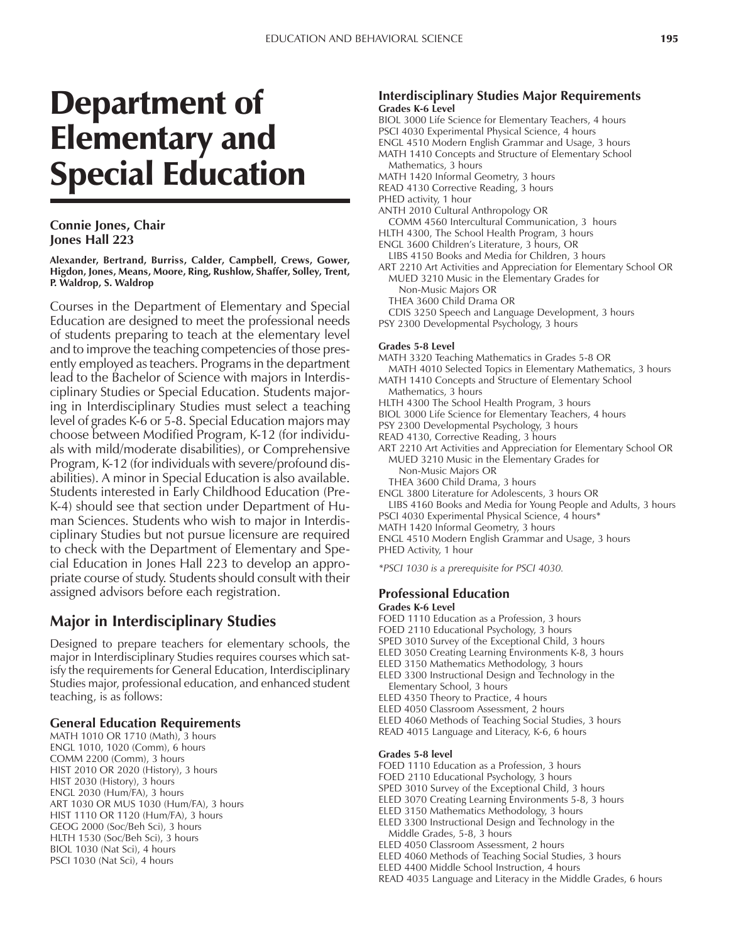# Department of Elementary and Special Education

#### **Connie Jones, Chair Jones Hall 223**

**Alexander, Bertrand, Burriss, Calder, Campbell, Crews, Gower, Higdon, Jones, Means, Moore, Ring, Rushlow, Shaffer, Solley, Trent, P. Waldrop, S. Waldrop**

Courses in the Department of Elementary and Special Education are designed to meet the professional needs of students preparing to teach at the elementary level and to improve the teaching competencies of those presently employed as teachers. Programs in the department lead to the Bachelor of Science with majors in Interdisciplinary Studies or Special Education. Students majoring in Interdisciplinary Studies must select a teaching level of grades K-6 or 5-8. Special Education majors may choose between Modified Program, K-12 (for individuals with mild/moderate disabilities), or Comprehensive Program, K-12 (for individuals with severe/profound disabilities). A minor in Special Education is also available. Students interested in Early Childhood Education (Pre-K-4) should see that section under Department of Human Sciences. Students who wish to major in Interdisciplinary Studies but not pursue licensure are required to check with the Department of Elementary and Special Education in Jones Hall 223 to develop an appropriate course of study. Students should consult with their assigned advisors before each registration.

# **Major in Interdisciplinary Studies**

Designed to prepare teachers for elementary schools, the major in Interdisciplinary Studies requires courses which satisfy the requirements for General Education, Interdisciplinary Studies major, professional education, and enhanced student teaching, is as follows:

## **General Education Requirements**

MATH 1010 OR 1710 (Math), 3 hours ENGL 1010, 1020 (Comm), 6 hours COMM 2200 (Comm), 3 hours HIST 2010 OR 2020 (History), 3 hours HIST 2030 (History), 3 hours ENGL 2030 (Hum/FA), 3 hours ART 1030 OR MUS 1030 (Hum/FA), 3 hours HIST 1110 OR 1120 (Hum/FA), 3 hours GEOG 2000 (Soc/Beh Sci), 3 hours HLTH 1530 (Soc/Beh Sci), 3 hours BIOL 1030 (Nat Sci), 4 hours PSCI 1030 (Nat Sci), 4 hours

#### **Interdisciplinary Studies Major Requirements Grades K-6 Level**

- BIOL 3000 Life Science for Elementary Teachers, 4 hours
- PSCI 4030 Experimental Physical Science, 4 hours
- ENGL 4510 Modern English Grammar and Usage, 3 hours MATH 1410 Concepts and Structure of Elementary School
- Mathematics, 3 hours
- MATH 1420 Informal Geometry, 3 hours READ 4130 Corrective Reading, 3 hours
- PHED activity, 1 hour
- ANTH 2010 Cultural Anthropology OR
	- COMM 4560 Intercultural Communication, 3 hours
- HLTH 4300, The School Health Program, 3 hours
- ENGL 3600 Children's Literature, 3 hours, OR
- LIBS 4150 Books and Media for Children, 3 hours ART 2210 Art Activities and Appreciation for Elementary School OR
- MUED 3210 Music in the Elementary Grades for Non-Music Majors OR
	- THEA 3600 Child Drama OR
- CDIS 3250 Speech and Language Development, 3 hours
- PSY 2300 Developmental Psychology, 3 hours

#### **Grades 5-8 Level**

- MATH 3320 Teaching Mathematics in Grades 5-8 OR
- MATH 4010 Selected Topics in Elementary Mathematics, 3 hours MATH 1410 Concepts and Structure of Elementary School
- Mathematics, 3 hours
- HLTH 4300 The School Health Program, 3 hours
- BIOL 3000 Life Science for Elementary Teachers, 4 hours
- PSY 2300 Developmental Psychology, 3 hours
- READ 4130, Corrective Reading, 3 hours
- ART 2210 Art Activities and Appreciation for Elementary School OR MUED 3210 Music in the Elementary Grades for
	- Non-Music Majors OR
- THEA 3600 Child Drama, 3 hours ENGL 3800 Literature for Adolescents, 3 hours OR
- 
- LIBS 4160 Books and Media for Young People and Adults, 3 hours PSCI 4030 Experimental Physical Science, 4 hours\*
- MATH 1420 Informal Geometry, 3 hours
- ENGL 4510 Modern English Grammar and Usage, 3 hours
- PHED Activity, 1 hour
- *\*PSCI 1030 is a prerequisite for PSCI 4030.*

# **Professional Education**

#### **Grades K-6 Level**

- FOED 1110 Education as a Profession, 3 hours
- FOED 2110 Educational Psychology, 3 hours
- SPED 3010 Survey of the Exceptional Child, 3 hours
- ELED 3050 Creating Learning Environments K-8, 3 hours
- ELED 3150 Mathematics Methodology, 3 hours
- ELED 3300 Instructional Design and Technology in the Elementary School, 3 hours
- ELED 4350 Theory to Practice, 4 hours
- ELED 4050 Classroom Assessment, 2 hours
- ELED 4060 Methods of Teaching Social Studies, 3 hours
- READ 4015 Language and Literacy, K-6, 6 hours

#### **Grades 5-8 level**

- FOED 1110 Education as a Profession, 3 hours
- FOED 2110 Educational Psychology, 3 hours
- SPED 3010 Survey of the Exceptional Child, 3 hours
- ELED 3070 Creating Learning Environments 5-8, 3 hours
- ELED 3150 Mathematics Methodology, 3 hours
- ELED 3300 Instructional Design and Technology in the Middle Grades, 5-8, 3 hours
- ELED 4050 Classroom Assessment, 2 hours
- ELED 4060 Methods of Teaching Social Studies, 3 hours
- ELED 4400 Middle School Instruction, 4 hours
- READ 4035 Language and Literacy in the Middle Grades, 6 hours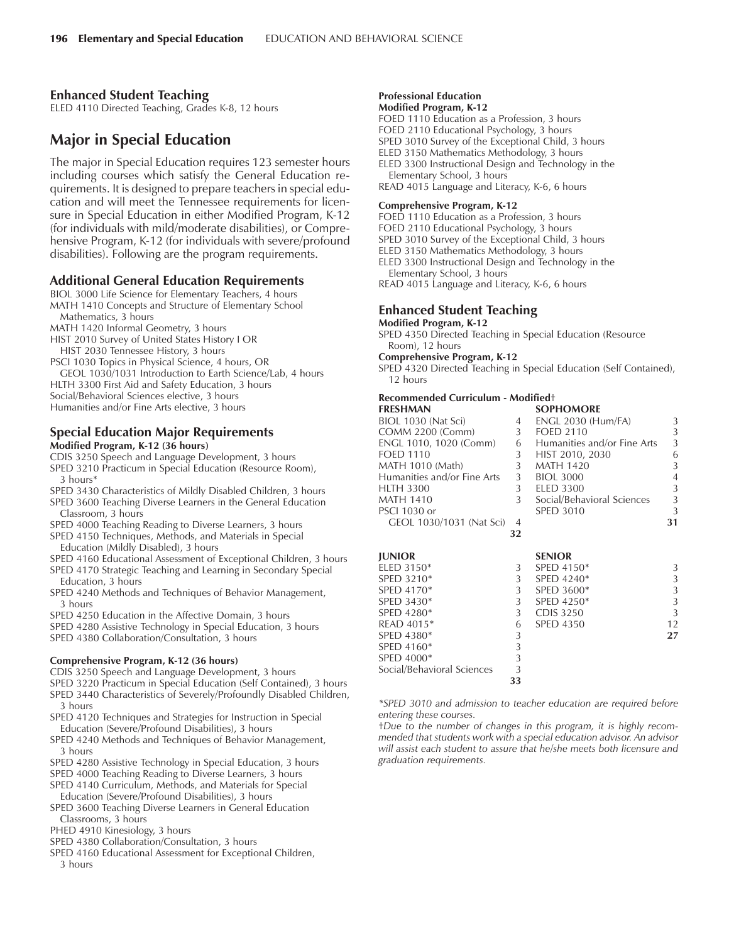## **Enhanced Student Teaching**

ELED 4110 Directed Teaching, Grades K-8, 12 hours

# **Major in Special Education**

The major in Special Education requires 123 semester hours including courses which satisfy the General Education requirements. It is designed to prepare teachers in special education and will meet the Tennessee requirements for licensure in Special Education in either Modified Program, K-12 (for individuals with mild/moderate disabilities), or Comprehensive Program, K-12 (for individuals with severe/profound disabilities). Following are the program requirements.

#### **Additional General Education Requirements**

- BIOL 3000 Life Science for Elementary Teachers, 4 hours MATH 1410 Concepts and Structure of Elementary School Mathematics, 3 hours
- MATH 1420 Informal Geometry, 3 hours
- HIST 2010 Survey of United States History I OR
- HIST 2030 Tennessee History, 3 hours
- PSCI 1030 Topics in Physical Science, 4 hours, OR GEOL 1030/1031 Introduction to Earth Science/Lab, 4 hours HLTH 3300 First Aid and Safety Education, 3 hours Social/Behavioral Sciences elective, 3 hours Humanities and/or Fine Arts elective, 3 hours

## **Special Education Major Requirements Modified Program, K-12 (36 hours)**

- CDIS 3250 Speech and Language Development, 3 hours
- SPED 3210 Practicum in Special Education (Resource Room), 3 hours\*
- SPED 3430 Characteristics of Mildly Disabled Children, 3 hours
- SPED 3600 Teaching Diverse Learners in the General Education Classroom, 3 hours
- SPED 4000 Teaching Reading to Diverse Learners, 3 hours
- SPED 4150 Techniques, Methods, and Materials in Special Education (Mildly Disabled), 3 hours
- SPED 4160 Educational Assessment of Exceptional Children, 3 hours
- SPED 4170 Strategic Teaching and Learning in Secondary Special Education, 3 hours
- SPED 4240 Methods and Techniques of Behavior Management, 3 hours
- SPED 4250 Education in the Affective Domain, 3 hours
- SPED 4280 Assistive Technology in Special Education, 3 hours
- SPED 4380 Collaboration/Consultation, 3 hours

#### **Comprehensive Program, K-12 (36 hours)**

- CDIS 3250 Speech and Language Development, 3 hours
- SPED 3220 Practicum in Special Education (Self Contained), 3 hours
- SPED 3440 Characteristics of Severely/Profoundly Disabled Children, 3 hours
- SPED 4120 Techniques and Strategies for Instruction in Special Education (Severe/Profound Disabilities), 3 hours
- SPED 4240 Methods and Techniques of Behavior Management, 3 hours
- SPED 4280 Assistive Technology in Special Education, 3 hours
- SPED 4000 Teaching Reading to Diverse Learners, 3 hours
- SPED 4140 Curriculum, Methods, and Materials for Special Education (Severe/Profound Disabilities), 3 hours
- SPED 3600 Teaching Diverse Learners in General Education Classrooms, 3 hours
- PHED 4910 Kinesiology, 3 hours
- SPED 4380 Collaboration/Consultation, 3 hours
- SPED 4160 Educational Assessment for Exceptional Children, 3 hours

#### **Professional Education Modified Program, K-12**

FOED 1110 Education as a Profession, 3 hours FOED 2110 Educational Psychology, 3 hours SPED 3010 Survey of the Exceptional Child, 3 hours ELED 3150 Mathematics Methodology, 3 hours ELED 3300 Instructional Design and Technology in the Elementary School, 3 hours READ 4015 Language and Literacy, K-6, 6 hours

## **Comprehensive Program, K-12**

FOED 1110 Education as a Profession, 3 hours FOED 2110 Educational Psychology, 3 hours SPED 3010 Survey of the Exceptional Child, 3 hours ELED 3150 Mathematics Methodology, 3 hours ELED 3300 Instructional Design and Technology in the

Elementary School, 3 hours

READ 4015 Language and Literacy, K-6, 6 hours

## **Enhanced Student Teaching**

- **Modified Program, K-12**
- SPED 4350 Directed Teaching in Special Education (Resource Room), 12 hours

**Comprehensive Program, K-12**

SPED 4320 Directed Teaching in Special Education (Self Contained), 12 hours

#### **Recommended Curriculum - Modified**<sup>+</sup>

| <b>FRESHMAN</b>             |    | <b>SOPHOMORE</b>            |    |
|-----------------------------|----|-----------------------------|----|
| BIOL 1030 (Nat Sci)         | 4  | <b>ENGL 2030 (Hum/FA)</b>   | 3  |
| COMM 2200 (Comm)            | 3  | <b>FOED 2110</b>            | 3  |
| ENGL 1010, 1020 (Comm)      | 6  | Humanities and/or Fine Arts | 3  |
| <b>FOED 1110</b>            | 3  | HIST 2010, 2030             | 6  |
| <b>MATH 1010 (Math)</b>     | 3  | <b>MATH 1420</b>            | 3  |
| Humanities and/or Fine Arts | 3  | <b>BIOL 3000</b>            | 4  |
| <b>HLTH 3300</b>            | 3  | <b>ELED 3300</b>            | 3  |
| <b>MATH 1410</b>            | 3  | Social/Behavioral Sciences  | 3  |
| PSCI 1030 or                |    | <b>SPED 3010</b>            | 3  |
| GEOL 1030/1031 (Nat Sci)    | 4  |                             | 31 |
|                             | 32 |                             |    |
|                             |    |                             |    |

| <b>JUNIOR</b>              |    | <b>SENIOR</b>    |    |
|----------------------------|----|------------------|----|
| ELED 3150*                 | 3  | SPED 4150*       | 3  |
| SPED 3210*                 | 3  | SPED $4240*$     | 3  |
| SPED 4170*                 | 3  | SPED 3600*       | 3  |
| SPED $3430*$               | 3  | SPED $4250*$     | 3  |
| SPED 4280*                 | 3  | CDIS 3250        | 3  |
| READ 4015*                 | 6  | <b>SPED 4350</b> | 12 |
| SPED 4380*                 | 3  |                  | 27 |
| SPED 4160*                 | 3  |                  |    |
| SPED $4000*$               | 3  |                  |    |
| Social/Behavioral Sciences | 3  |                  |    |
|                            | 33 |                  |    |
|                            |    |                  |    |

*\*SPED 3010 and admission to teacher education are required before entering these courses.*

tDue to the number of changes in this program, it is highly recom*mended that students work with a special education advisor. An advisor will assist each student to assure that he/she meets both licensure and graduation requirements.*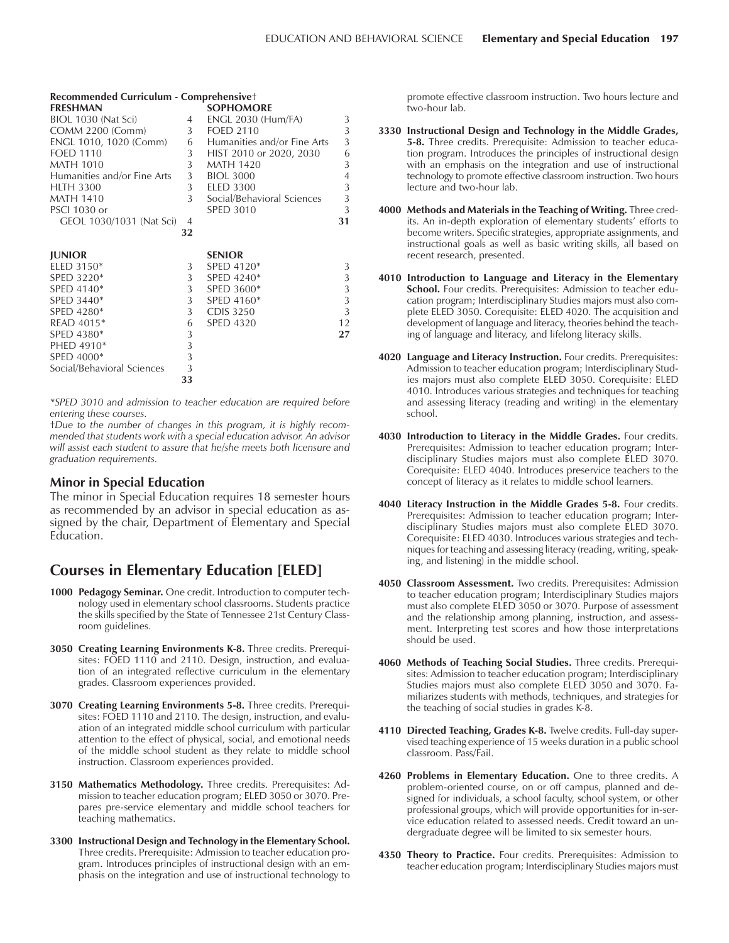| Recommended Curriculum - Comprehensivet |                |                             |        |  |  |  |  |
|-----------------------------------------|----------------|-----------------------------|--------|--|--|--|--|
| <b>FRESHMAN</b>                         |                | <b>SOPHOMORE</b>            |        |  |  |  |  |
| BIOL 1030 (Nat Sci)                     | 4              | <b>ENGL 2030 (Hum/FA)</b>   | 3      |  |  |  |  |
| <b>COMM 2200 (Comm)</b>                 | 3 <sup>7</sup> | <b>FOED 2110</b>            | 3      |  |  |  |  |
| ENGL 1010, 1020 (Comm)                  | 6              | Humanities and/or Fine Arts | 3      |  |  |  |  |
| <b>FOED 1110</b>                        | 3              | HIST 2010 or 2020, 2030     | 6      |  |  |  |  |
| <b>MATH 1010</b>                        | 3              | <b>MATH 1420</b>            | 3      |  |  |  |  |
| Humanities and/or Fine Arts             | 3              | <b>BIOL 3000</b>            | 4      |  |  |  |  |
| <b>HLTH 3300</b>                        | 3              | <b>ELED 3300</b>            | 3      |  |  |  |  |
| <b>MATH 1410</b>                        | 3              | Social/Behavioral Sciences  | 3      |  |  |  |  |
| <b>PSCI 1030 or</b>                     |                | <b>SPED 3010</b>            | 3      |  |  |  |  |
| GEOL 1030/1031 (Nat Sci)                | 4              |                             | 31     |  |  |  |  |
|                                         | 32             |                             |        |  |  |  |  |
|                                         |                |                             |        |  |  |  |  |
| <b>JUNIOR</b>                           |                | <b>SENIOR</b>               |        |  |  |  |  |
| ELED 3150*<br>SPED 3220*                | 3<br>3         | SPED 4120*<br>SPED 4240*    | 3<br>3 |  |  |  |  |
|                                         |                |                             |        |  |  |  |  |
| SPED 4140*<br>SPED 3440*                | 3<br>3         | SPED 3600*<br>SPED 4160*    | 3<br>3 |  |  |  |  |
| SPED 4280*                              | 3              | <b>CDIS 3250</b>            | 3      |  |  |  |  |
| READ 4015*                              | 6              | <b>SPED 4320</b>            | 12     |  |  |  |  |
| SPED 4380*                              | 3              |                             | 27     |  |  |  |  |
| PHED 4910*                              | 3              |                             |        |  |  |  |  |
| SPED 4000*                              | 3              |                             |        |  |  |  |  |
| Social/Behavioral Sciences              | 3              |                             |        |  |  |  |  |
|                                         | 33             |                             |        |  |  |  |  |
|                                         |                |                             |        |  |  |  |  |

*\*SPED 3010 and admission to teacher education are required before entering these courses.*

tDue to the number of changes in this program, it is highly recom*mended that students work with a special education advisor. An advisor will assist each student to assure that he/she meets both licensure and graduation requirements.*

## **Minor in Special Education**

The minor in Special Education requires 18 semester hours as recommended by an advisor in special education as assigned by the chair, Department of Elementary and Special Education.

# **Courses in Elementary Education [ELED]**

- **1000 Pedagogy Seminar.** One credit. Introduction to computer technology used in elementary school classrooms. Students practice the skills specified by the State of Tennessee 21st Century Classroom guidelines.
- **3050 Creating Learning Environments K-8.** Three credits. Prerequisites: FOED 1110 and 2110. Design, instruction, and evaluation of an integrated reflective curriculum in the elementary grades. Classroom experiences provided.
- **3070 Creating Learning Environments 5-8.** Three credits. Prerequisites: FOED 1110 and 2110. The design, instruction, and evaluation of an integrated middle school curriculum with particular attention to the effect of physical, social, and emotional needs of the middle school student as they relate to middle school instruction. Classroom experiences provided.
- **3150 Mathematics Methodology.** Three credits. Prerequisites: Admission to teacher education program; ELED 3050 or 3070. Prepares pre-service elementary and middle school teachers for teaching mathematics.
- **3300 Instructional Design and Technology in the Elementary School.** Three credits. Prerequisite: Admission to teacher education program. Introduces principles of instructional design with an emphasis on the integration and use of instructional technology to

promote effective classroom instruction. Two hours lecture and two-hour lab.

- **3330 Instructional Design and Technology in the Middle Grades, 5-8.** Three credits. Prerequisite: Admission to teacher education program. Introduces the principles of instructional design with an emphasis on the integration and use of instructional technology to promote effective classroom instruction. Two hours lecture and two-hour lab.
- **4000 Methods and Materials in the Teaching of Writing.** Three credits. An in-depth exploration of elementary students' efforts to become writers. Specific strategies, appropriate assignments, and instructional goals as well as basic writing skills, all based on recent research, presented.
- **4010 Introduction to Language and Literacy in the Elementary School.** Four credits. Prerequisites: Admission to teacher education program; Interdisciplinary Studies majors must also complete ELED 3050. Corequisite: ELED 4020. The acquisition and development of language and literacy, theories behind the teaching of language and literacy, and lifelong literacy skills.
- **4020 Language and Literacy Instruction.** Four credits. Prerequisites: Admission to teacher education program; Interdisciplinary Studies majors must also complete ELED 3050. Corequisite: ELED 4010. Introduces various strategies and techniques for teaching and assessing literacy (reading and writing) in the elementary school.
- **4030 Introduction to Literacy in the Middle Grades.** Four credits. Prerequisites: Admission to teacher education program; Interdisciplinary Studies majors must also complete ELED 3070. Corequisite: ELED 4040. Introduces preservice teachers to the concept of literacy as it relates to middle school learners.
- **4040 Literacy Instruction in the Middle Grades 5-8.** Four credits. Prerequisites: Admission to teacher education program; Interdisciplinary Studies majors must also complete ELED 3070. Corequisite: ELED 4030. Introduces various strategies and techniques for teaching and assessing literacy (reading, writing, speaking, and listening) in the middle school.
- **4050 Classroom Assessment.** Two credits. Prerequisites: Admission to teacher education program; Interdisciplinary Studies majors must also complete ELED 3050 or 3070. Purpose of assessment and the relationship among planning, instruction, and assessment. Interpreting test scores and how those interpretations should be used.
- **4060 Methods of Teaching Social Studies.** Three credits. Prerequisites: Admission to teacher education program; Interdisciplinary Studies majors must also complete ELED 3050 and 3070. Familiarizes students with methods, techniques, and strategies for the teaching of social studies in grades K-8.
- **4110 Directed Teaching, Grades K-8.** Twelve credits. Full-day supervised teaching experience of 15 weeks duration in a public school classroom. Pass/Fail.
- **4260 Problems in Elementary Education.** One to three credits. A problem-oriented course, on or off campus, planned and designed for individuals, a school faculty, school system, or other professional groups, which will provide opportunities for in-service education related to assessed needs. Credit toward an undergraduate degree will be limited to six semester hours.
- **4350 Theory to Practice.** Four credits. Prerequisites: Admission to teacher education program; Interdisciplinary Studies majors must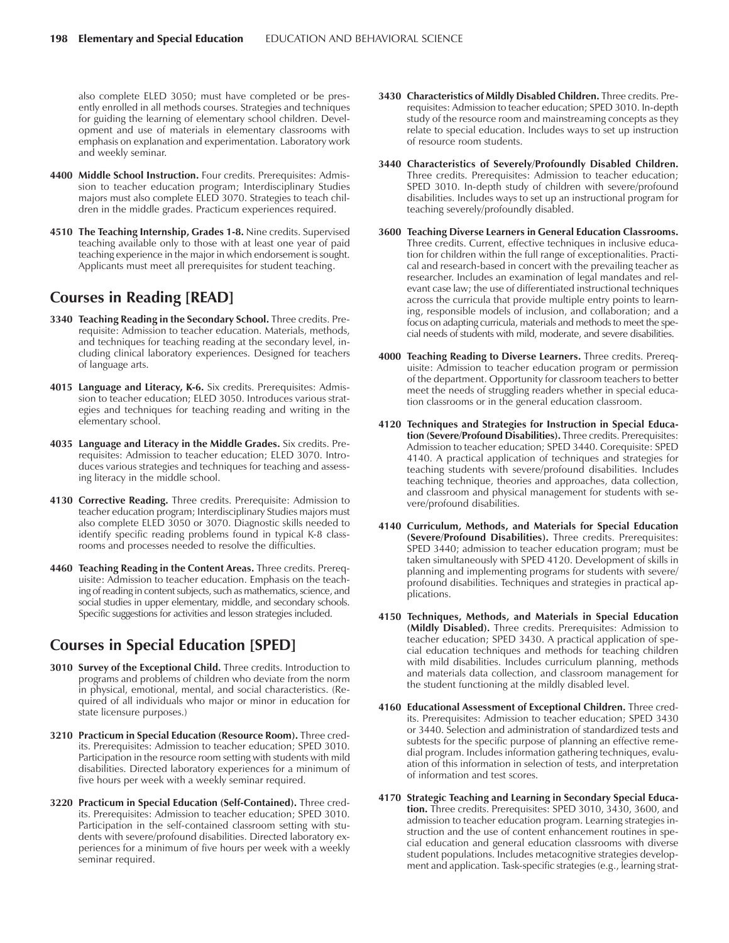also complete ELED 3050; must have completed or be presently enrolled in all methods courses. Strategies and techniques for guiding the learning of elementary school children. Development and use of materials in elementary classrooms with emphasis on explanation and experimentation. Laboratory work and weekly seminar.

- **4400 Middle School Instruction.** Four credits. Prerequisites: Admission to teacher education program; Interdisciplinary Studies majors must also complete ELED 3070. Strategies to teach children in the middle grades. Practicum experiences required.
- **4510 The Teaching Internship, Grades 1-8.** Nine credits. Supervised teaching available only to those with at least one year of paid teaching experience in the major in which endorsement is sought. Applicants must meet all prerequisites for student teaching.

# **Courses in Reading [READ]**

- **3340 Teaching Reading in the Secondary School.** Three credits. Prerequisite: Admission to teacher education. Materials, methods, and techniques for teaching reading at the secondary level, including clinical laboratory experiences. Designed for teachers of language arts.
- **4015 Language and Literacy, K-6.** Six credits. Prerequisites: Admission to teacher education; ELED 3050. Introduces various strategies and techniques for teaching reading and writing in the elementary school.
- **4035 Language and Literacy in the Middle Grades.** Six credits. Prerequisites: Admission to teacher education; ELED 3070. Introduces various strategies and techniques for teaching and assessing literacy in the middle school.
- **4130 Corrective Reading.** Three credits. Prerequisite: Admission to teacher education program; Interdisciplinary Studies majors must also complete ELED 3050 or 3070. Diagnostic skills needed to identify specific reading problems found in typical K-8 classrooms and processes needed to resolve the difficulties.
- **4460 Teaching Reading in the Content Areas.** Three credits. Prerequisite: Admission to teacher education. Emphasis on the teaching of reading in content subjects, such as mathematics, science, and social studies in upper elementary, middle, and secondary schools. Specific suggestions for activities and lesson strategies included.

# **Courses in Special Education [SPED]**

- **3010 Survey of the Exceptional Child.** Three credits. Introduction to programs and problems of children who deviate from the norm in physical, emotional, mental, and social characteristics. (Required of all individuals who major or minor in education for state licensure purposes.)
- **3210 Practicum in Special Education (Resource Room).** Three credits. Prerequisites: Admission to teacher education; SPED 3010. Participation in the resource room setting with students with mild disabilities. Directed laboratory experiences for a minimum of five hours per week with a weekly seminar required.
- **3220 Practicum in Special Education (Self-Contained).** Three credits. Prerequisites: Admission to teacher education; SPED 3010. Participation in the self-contained classroom setting with students with severe/profound disabilities. Directed laboratory experiences for a minimum of five hours per week with a weekly seminar required.
- **3430 Characteristics of Mildly Disabled Children.** Three credits. Prerequisites: Admission to teacher education; SPED 3010. In-depth study of the resource room and mainstreaming concepts as they relate to special education. Includes ways to set up instruction of resource room students.
- **3440 Characteristics of Severely/Profoundly Disabled Children.** Three credits. Prerequisites: Admission to teacher education; SPED 3010. In-depth study of children with severe/profound disabilities. Includes ways to set up an instructional program for teaching severely/profoundly disabled.
- **3600 Teaching Diverse Learners in General Education Classrooms.** Three credits. Current, effective techniques in inclusive education for children within the full range of exceptionalities. Practical and research-based in concert with the prevailing teacher as researcher. Includes an examination of legal mandates and relevant case law; the use of differentiated instructional techniques across the curricula that provide multiple entry points to learning, responsible models of inclusion, and collaboration; and a focus on adapting curricula, materials and methods to meet the special needs of students with mild, moderate, and severe disabilities.
- **4000 Teaching Reading to Diverse Learners.** Three credits. Prerequisite: Admission to teacher education program or permission of the department. Opportunity for classroom teachers to better meet the needs of struggling readers whether in special education classrooms or in the general education classroom.
- **4120 Techniques and Strategies for Instruction in Special Education (Severe/Profound Disabilities).** Three credits. Prerequisites: Admission to teacher education; SPED 3440. Corequisite: SPED 4140. A practical application of techniques and strategies for teaching students with severe/profound disabilities. Includes teaching technique, theories and approaches, data collection, and classroom and physical management for students with severe/profound disabilities.
- **4140 Curriculum, Methods, and Materials for Special Education (Severe/Profound Disabilities).** Three credits. Prerequisites: SPED 3440; admission to teacher education program; must be taken simultaneously with SPED 4120. Development of skills in planning and implementing programs for students with severe/ profound disabilities. Techniques and strategies in practical applications.
- **4150 Techniques, Methods, and Materials in Special Education (Mildly Disabled).** Three credits. Prerequisites: Admission to teacher education; SPED 3430. A practical application of special education techniques and methods for teaching children with mild disabilities. Includes curriculum planning, methods and materials data collection, and classroom management for the student functioning at the mildly disabled level.
- **4160 Educational Assessment of Exceptional Children.** Three credits. Prerequisites: Admission to teacher education; SPED 3430 or 3440. Selection and administration of standardized tests and subtests for the specific purpose of planning an effective remedial program. Includes information gathering techniques, evaluation of this information in selection of tests, and interpretation of information and test scores.
- **4170 Strategic Teaching and Learning in Secondary Special Education.** Three credits. Prerequisites: SPED 3010, 3430, 3600, and admission to teacher education program. Learning strategies instruction and the use of content enhancement routines in special education and general education classrooms with diverse student populations. Includes metacognitive strategies development and application. Task-specific strategies (e.g., learning strat-